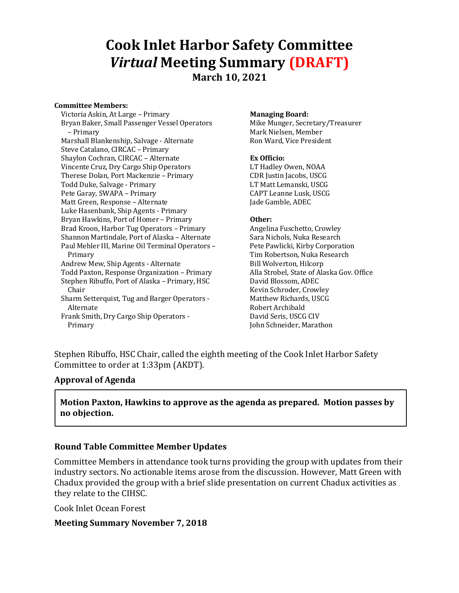# **Cook Inlet Harbor Safety Committee** *Virtual* **Meeting Summary (DRAFT) March 10, 2021**

#### **Committee Members:**

Victoria Askin, At Large - Primary Bryan Baker, Small Passenger Vessel Operators – Primary Marshall Blankenship, Salvage - Alternate Steve Catalano, CIRCAC - Primary Shavlon Cochran, CIRCAC - Alternate Vincente Cruz, Dry Cargo Ship Operators Therese Dolan, Port Mackenzie - Primary Todd Duke, Salvage - Primary Pete Garay, SWAPA - Primary Matt Green, Response - Alternate Luke Hasenbank, Ship Agents - Primary Bryan Hawkins, Port of Homer - Primary Brad Kroon, Harbor Tug Operators - Primary Shannon Martindale, Port of Alaska - Alternate Paul Mehler III, Marine Oil Terminal Operators -Primary Andrew Mew, Ship Agents - Alternate Todd Paxton, Response Organization - Primary Stephen Ribuffo, Port of Alaska - Primary, HSC Chair Sharm Setterquist, Tug and Barger Operators -Alternate Frank Smith, Dry Cargo Ship Operators -Primary

#### **Managing Board:**

Mike Munger, Secretary/Treasurer Mark Nielsen, Member Ron Ward, Vice President

#### **Ex Officio:**

LT Hadley Owen, NOAA CDR Justin Jacobs, USCG LT Matt Lemanski, USCG CAPT Leanne Lusk, USCG Jade Gamble, ADEC

#### **Other:**

Angelina Fuschetto, Crowley Sara Nichols, Nuka Research Pete Pawlicki, Kirby Corporation Tim Robertson, Nuka Research Bill Wolverton, Hilcorp Alla Strobel, State of Alaska Gov. Office David Blossom, ADEC Kevin Schroder, Crowley Matthew Richards, USCG Robert Archibald David Seris, USCG CIV John Schneider, Marathon

Stephen Ribuffo, HSC Chair, called the eighth meeting of the Cook Inlet Harbor Safety Committee to order at 1:33pm (AKDT).

## **Approval of Agenda**

# **Motion Paxton, Hawkins to approve as the agenda as prepared. Motion passes by no objection.**

## **Round Table Committee Member Updates**

Committee Members in attendance took turns providing the group with updates from their industry sectors. No actionable items arose from the discussion. However, Matt Green with Chadux provided the group with a brief slide presentation on current Chadux activities as they relate to the CIHSC.

Cook Inlet Ocean Forest 

#### **Meeting Summary November 7, 2018**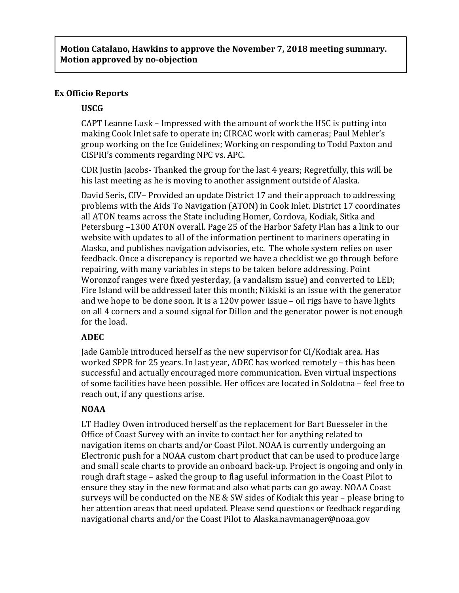Motion Catalano, Hawkins to approve the November 7, 2018 meeting summary. **Motion approved by no-objection**

## **Ex Officio Reports**

#### **USCG**

CAPT Leanne Lusk - Impressed with the amount of work the HSC is putting into making Cook Inlet safe to operate in; CIRCAC work with cameras; Paul Mehler's group working on the Ice Guidelines; Working on responding to Todd Paxton and CISPRI's comments regarding NPC vs. APC.

CDR Justin Jacobs- Thanked the group for the last 4 years; Regretfully, this will be his last meeting as he is moving to another assignment outside of Alaska.

David Seris, CIV-Provided an update District 17 and their approach to addressing problems with the Aids To Navigation (ATON) in Cook Inlet. District 17 coordinates all ATON teams across the State including Homer, Cordova, Kodiak, Sitka and Petersburg -1300 ATON overall. Page 25 of the Harbor Safety Plan has a link to our website with updates to all of the information pertinent to mariners operating in Alaska, and publishes navigation advisories, etc. The whole system relies on user feedback. Once a discrepancy is reported we have a checklist we go through before repairing, with many variables in steps to be taken before addressing. Point Woronzof ranges were fixed yesterday, (a vandalism issue) and converted to LED; Fire Island will be addressed later this month; Nikiski is an issue with the generator and we hope to be done soon. It is a 120v power issue  $-$  oil rigs have to have lights on all 4 corners and a sound signal for Dillon and the generator power is not enough for the load.

#### **ADEC**

Jade Gamble introduced herself as the new supervisor for CI/Kodiak area. Has worked SPPR for 25 years. In last year, ADEC has worked remotely – this has been successful and actually encouraged more communication. Even virtual inspections of some facilities have been possible. Her offices are located in Soldotna - feel free to reach out, if any questions arise.

## **NOAA**

LT Hadley Owen introduced herself as the replacement for Bart Buesseler in the Office of Coast Survey with an invite to contact her for anything related to navigation items on charts and/or Coast Pilot. NOAA is currently undergoing an Electronic push for a NOAA custom chart product that can be used to produce large and small scale charts to provide an onboard back-up. Project is ongoing and only in rough draft stage – asked the group to flag useful information in the Coast Pilot to ensure they stay in the new format and also what parts can go away. NOAA Coast surveys will be conducted on the NE & SW sides of Kodiak this year - please bring to her attention areas that need updated. Please send questions or feedback regarding navigational charts and/or the Coast Pilot to Alaska.navmanager@noaa.gov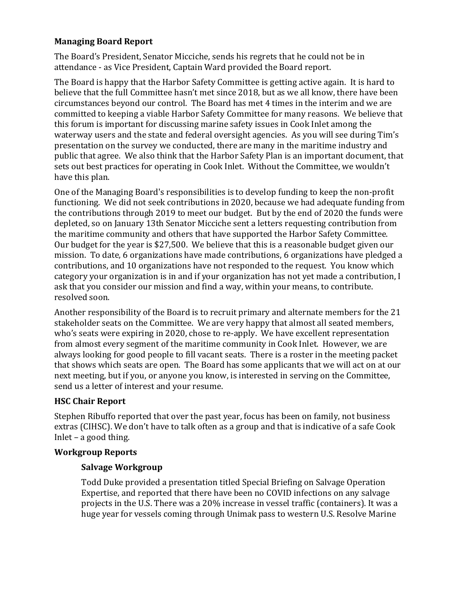# **Managing Board Report**

The Board's President, Senator Micciche, sends his regrets that he could not be in attendance - as Vice President, Captain Ward provided the Board report.

The Board is happy that the Harbor Safety Committee is getting active again. It is hard to believe that the full Committee hasn't met since 2018, but as we all know, there have been circumstances beyond our control. The Board has met 4 times in the interim and we are committed to keeping a viable Harbor Safety Committee for many reasons. We believe that this forum is important for discussing marine safety issues in Cook Inlet among the waterway users and the state and federal oversight agencies. As you will see during Tim's presentation on the survey we conducted, there are many in the maritime industry and public that agree. We also think that the Harbor Safety Plan is an important document, that sets out best practices for operating in Cook Inlet. Without the Committee, we wouldn't have this plan.

One of the Managing Board's responsibilities is to develop funding to keep the non-profit functioning. We did not seek contributions in 2020, because we had adequate funding from the contributions through 2019 to meet our budget. But by the end of 2020 the funds were depleted, so on January 13th Senator Micciche sent a letters requesting contribution from the maritime community and others that have supported the Harbor Safety Committee. Our budget for the year is \$27,500. We believe that this is a reasonable budget given our mission. To date, 6 organizations have made contributions, 6 organizations have pledged a contributions, and 10 organizations have not responded to the request. You know which category your organization is in and if your organization has not yet made a contribution, I ask that you consider our mission and find a way, within your means, to contribute. resolved soon.

Another responsibility of the Board is to recruit primary and alternate members for the 21 stakeholder seats on the Committee. We are very happy that almost all seated members, who's seats were expiring in 2020, chose to re-apply. We have excellent representation from almost every segment of the maritime community in Cook Inlet. However, we are always looking for good people to fill vacant seats. There is a roster in the meeting packet that shows which seats are open. The Board has some applicants that we will act on at our next meeting, but if you, or anyone you know, is interested in serving on the Committee, send us a letter of interest and your resume.

## **HSC Chair Report**

Stephen Ribuffo reported that over the past year, focus has been on family, not business extras (CIHSC). We don't have to talk often as a group and that is indicative of a safe Cook Inlet  $-$  a good thing.

## **Workgroup Reports**

## **Salvage Workgroup**

Todd Duke provided a presentation titled Special Briefing on Salvage Operation Expertise, and reported that there have been no COVID infections on any salvage projects in the U.S. There was a 20% increase in vessel traffic (containers). It was a huge year for vessels coming through Unimak pass to western U.S. Resolve Marine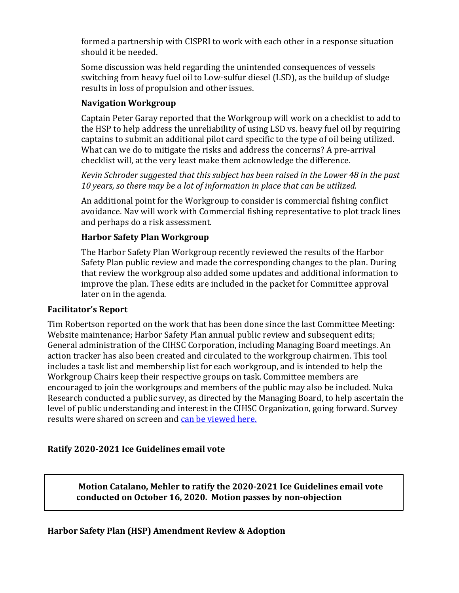formed a partnership with CISPRI to work with each other in a response situation should it be needed.

Some discussion was held regarding the unintended consequences of vessels switching from heavy fuel oil to Low-sulfur diesel (LSD), as the buildup of sludge results in loss of propulsion and other issues.

# **Navigation Workgroup**

Captain Peter Garay reported that the Workgroup will work on a checklist to add to the HSP to help address the unreliability of using LSD vs. heavy fuel oil by requiring captains to submit an additional pilot card specific to the type of oil being utilized. What can we do to mitigate the risks and address the concerns? A pre-arrival checklist will, at the very least make them acknowledge the difference.

*Kevin Schroder suggested that this subject has been raised in the Lower 48 in the past* 10 years, so there may be a lot of information in place that can be utilized.

An additional point for the Workgroup to consider is commercial fishing conflict avoidance. Nav will work with Commercial fishing representative to plot track lines and perhaps do a risk assessment.

# **Harbor Safety Plan Workgroup**

The Harbor Safety Plan Workgroup recently reviewed the results of the Harbor Safety Plan public review and made the corresponding changes to the plan. During that review the workgroup also added some updates and additional information to improve the plan. These edits are included in the packet for Committee approval later on in the agenda.

## **Facilitator's Report**

Tim Robertson reported on the work that has been done since the last Committee Meeting: Website maintenance; Harbor Safety Plan annual public review and subsequent edits; General administration of the CIHSC Corporation, including Managing Board meetings. An action tracker has also been created and circulated to the workgroup chairmen. This tool includes a task list and membership list for each workgroup, and is intended to help the Workgroup Chairs keep their respective groups on task. Committee members are encouraged to join the workgroups and members of the public may also be included. Nuka Research conducted a public survey, as directed by the Managing Board, to help ascertain the level of public understanding and interest in the CIHSC Organization, going forward. Survey results were shared on screen and can be viewed here.

## **Ratify 2020-2021 Ice Guidelines email vote**

**Motion Catalano, Mehler to ratify the 2020-2021 Ice Guidelines email vote** conducted on October 16, 2020. Motion passes by non-objection

**Harbor Safety Plan (HSP) Amendment Review & Adoption**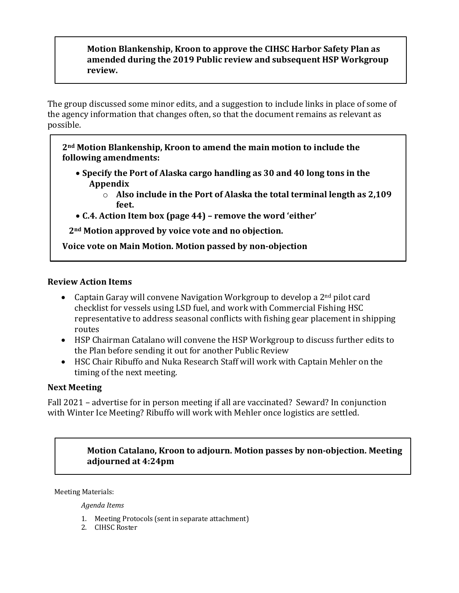## **Motion Blankenship, Kroon to approve the CIHSC Harbor Safety Plan as** amended during the 2019 Public review and subsequent HSP Workgroup **review.**

The group discussed some minor edits, and a suggestion to include links in place of some of the agency information that changes often, so that the document remains as relevant as possible. 

2<sup>nd</sup> Motion Blankenship, Kroon to amend the main motion to include the **following amendments:** 

- Specify the Port of Alaska cargo handling as 30 and 40 long tons in the **Appendix**
	- o Also include in the Port of Alaska the total terminal length as 2,109 **feet.**
- **C.4.** Action Item box (page 44) remove the word 'either'

**2nd Motion approved by voice vote and no objection.**

**Voice vote on Main Motion. Motion passed by non-objection** 

## **Review Action Items**

- Captain Garay will convene Navigation Workgroup to develop a  $2<sup>nd</sup>$  pilot card checklist for vessels using LSD fuel, and work with Commercial Fishing HSC representative to address seasonal conflicts with fishing gear placement in shipping routes
- HSP Chairman Catalano will convene the HSP Workgroup to discuss further edits to the Plan before sending it out for another Public Review
- HSC Chair Ribuffo and Nuka Research Staff will work with Captain Mehler on the timing of the next meeting.

## **Next Meeting**

Fall 2021 – advertise for in person meeting if all are vaccinated? Seward? In conjunction with Winter Ice Meeting? Ribuffo will work with Mehler once logistics are settled.

# **Motion Catalano, Kroon to adjourn. Motion passes by non-objection. Meeting adjourned at 4:24pm**

Meeting Materials:

*Agenda Items*

- 1. Meeting Protocols (sent in separate attachment)
- 2. CIHSC Roster